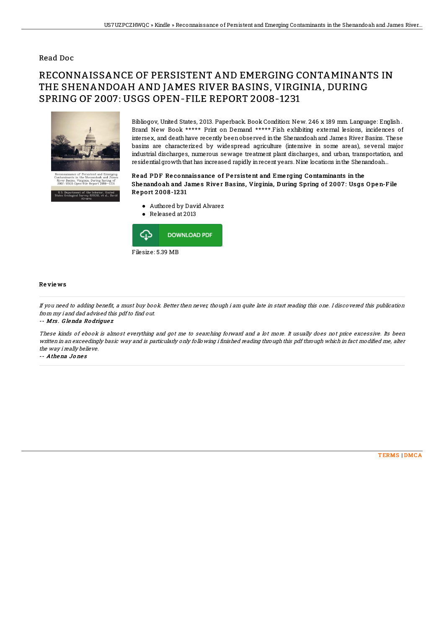### Read Doc

# RECONNAISSANCE OF PERSISTENT AND EMERGING CONTAMINANTS IN THE SHENANDOAH AND JAMES RIVER BASINS, VIRGINIA, DURING SPRING OF 2007: USGS OPEN-FILE REPORT 2008-1231



Bibliogov, United States, 2013. Paperback. Book Condition: New. 246 x 189 mm. Language: English . Brand New Book \*\*\*\*\* Print on Demand \*\*\*\*\*.Fish exhibiting external lesions, incidences of intersex, and deathhave recently beenobserved inthe Shenandoahand James River Basins. These basins are characterized by widespread agriculture (intensive in some areas), several major industrial discharges, numerous sewage treatment plant discharges, and urban, transportation, and residential growth that has increased rapidly in recent years. Nine locations in the Shenandoah...

#### Read PDF Reconnaissance of Persistent and Emerging Contaminants in the She nando ah and James River Basins, Virginia, During Spring of 2007: Usgs Open-File Re po rt 2 008 -12 31

- Authored by David Alvarez
- Released at 2013



#### Re vie ws

If you need to adding benefit, a must buy book. Better then never, though i am quite late in start reading this one. I discovered this publication from my i and dad advised this pdf to find out.

-- Mrs . G lenda Ro drigue <sup>z</sup>

These kinds of ebook is almost everything and got me to searching forward and <sup>a</sup> lot more. It usually does not price excessive. Its been written in an exceedingly basic way and is particularly only following i finished reading through this pdf through which in fact modified me, alter the way i really believe.

-- Athena Jo ne s